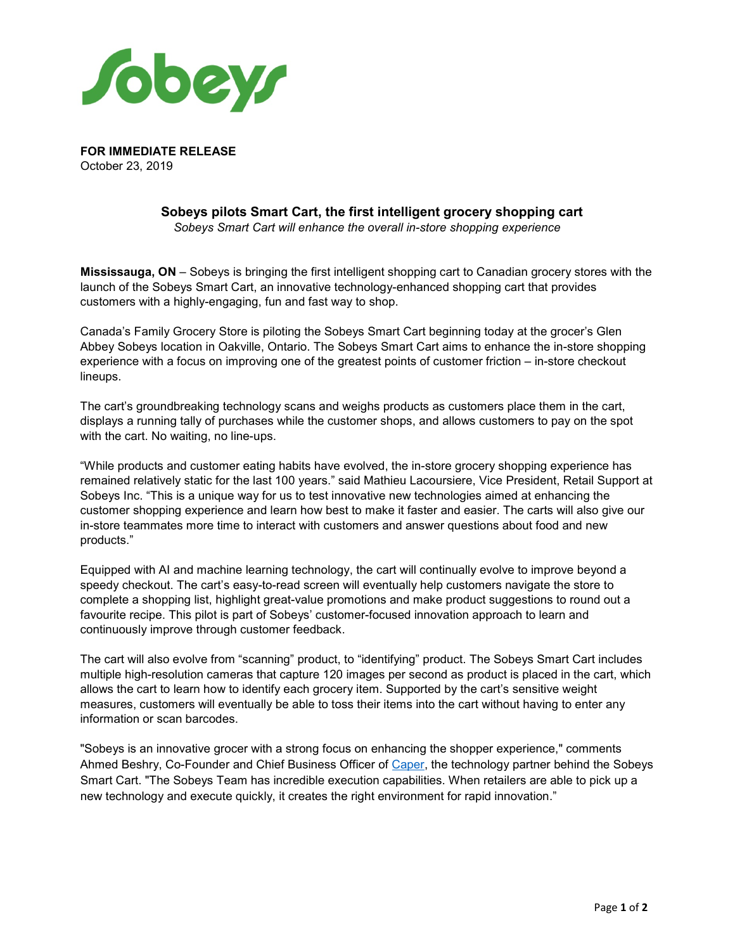

**FOR IMMEDIATE RELEASE** October 23, 2019

# **Sobeys pilots Smart Cart, the first intelligent grocery shopping cart**

*Sobeys Smart Cart will enhance the overall in-store shopping experience* 

**Mississauga, ON** – Sobeys is bringing the first intelligent shopping cart to Canadian grocery stores with the launch of the Sobeys Smart Cart, an innovative technology-enhanced shopping cart that provides customers with a highly-engaging, fun and fast way to shop.

Canada's Family Grocery Store is piloting the Sobeys Smart Cart beginning today at the grocer's Glen Abbey Sobeys location in Oakville, Ontario. The Sobeys Smart Cart aims to enhance the in-store shopping experience with a focus on improving one of the greatest points of customer friction – in-store checkout lineups.

The cart's groundbreaking technology scans and weighs products as customers place them in the cart, displays a running tally of purchases while the customer shops, and allows customers to pay on the spot with the cart. No waiting, no line-ups.

"While products and customer eating habits have evolved, the in-store grocery shopping experience has remained relatively static for the last 100 years." said Mathieu Lacoursiere, Vice President, Retail Support at Sobeys Inc. "This is a unique way for us to test innovative new technologies aimed at enhancing the customer shopping experience and learn how best to make it faster and easier. The carts will also give our in-store teammates more time to interact with customers and answer questions about food and new products."

Equipped with AI and machine learning technology, the cart will continually evolve to improve beyond a speedy checkout. The cart's easy-to-read screen will eventually help customers navigate the store to complete a shopping list, highlight great-value promotions and make product suggestions to round out a favourite recipe. This pilot is part of Sobeys' customer-focused innovation approach to learn and continuously improve through customer feedback.

The cart will also evolve from "scanning" product, to "identifying" product. The Sobeys Smart Cart includes multiple high-resolution cameras that capture 120 images per second as product is placed in the cart, which allows the cart to learn how to identify each grocery item. Supported by the cart's sensitive weight measures, customers will eventually be able to toss their items into the cart without having to enter any information or scan barcodes.

"Sobeys is an innovative grocer with a strong focus on enhancing the shopper experience," comments Ahmed Beshry, Co-Founder and Chief Business Officer of [Caper,](https://www.caper.ai/) the technology partner behind the Sobeys Smart Cart. "The Sobeys Team has incredible execution capabilities. When retailers are able to pick up a new technology and execute quickly, it creates the right environment for rapid innovation."